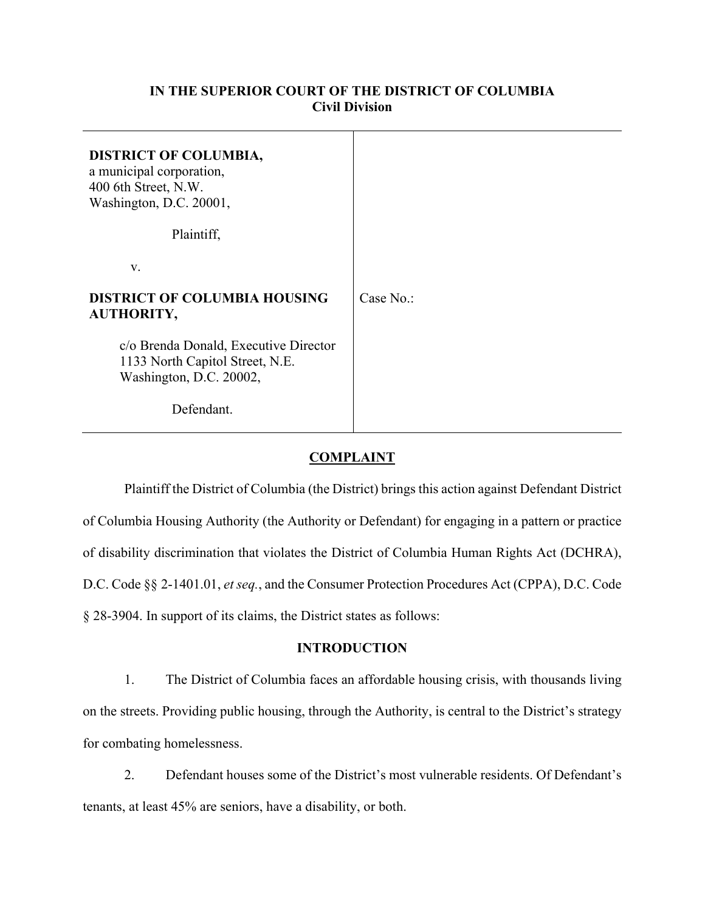## **IN THE SUPERIOR COURT OF THE DISTRICT OF COLUMBIA Civil Division**

| <b>DISTRICT OF COLUMBIA,</b><br>a municipal corporation,<br>400 6th Street, N.W.<br>Washington, D.C. 20001, |           |
|-------------------------------------------------------------------------------------------------------------|-----------|
| Plaintiff,                                                                                                  |           |
| V.                                                                                                          |           |
| <b>DISTRICT OF COLUMBIA HOUSING</b><br><b>AUTHORITY,</b>                                                    | Case No.: |
| c/o Brenda Donald, Executive Director<br>1133 North Capitol Street, N.E.<br>Washington, D.C. 20002,         |           |
| Defendant.                                                                                                  |           |

## **COMPLAINT**

Plaintiff the District of Columbia (the District) brings this action against Defendant District of Columbia Housing Authority (the Authority or Defendant) for engaging in a pattern or practice of disability discrimination that violates the District of Columbia Human Rights Act (DCHRA), D.C. Code §§ 2-1401.01, *et seq.*, and the Consumer Protection Procedures Act (CPPA), D.C. Code § 28-3904. In support of its claims, the District states as follows:

## **INTRODUCTION**

1. The District of Columbia faces an affordable housing crisis, with thousands living on the streets. Providing public housing, through the Authority, is central to the District's strategy for combating homelessness.

2. Defendant houses some of the District's most vulnerable residents. Of Defendant's tenants, at least 45% are seniors, have a disability, or both.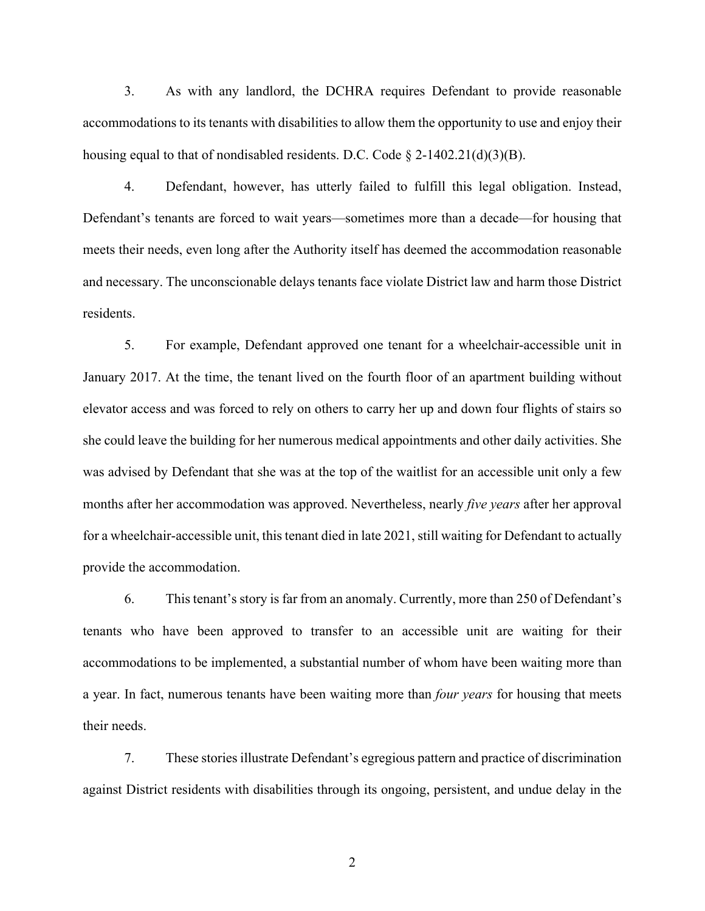3. As with any landlord, the DCHRA requires Defendant to provide reasonable accommodations to its tenants with disabilities to allow them the opportunity to use and enjoy their housing equal to that of nondisabled residents. D.C. Code  $\S$  2-1402.21(d)(3)(B).

4. Defendant, however, has utterly failed to fulfill this legal obligation. Instead, Defendant's tenants are forced to wait years—sometimes more than a decade—for housing that meets their needs, even long after the Authority itself has deemed the accommodation reasonable and necessary. The unconscionable delays tenants face violate District law and harm those District residents.

5. For example, Defendant approved one tenant for a wheelchair-accessible unit in January 2017. At the time, the tenant lived on the fourth floor of an apartment building without elevator access and was forced to rely on others to carry her up and down four flights of stairs so she could leave the building for her numerous medical appointments and other daily activities. She was advised by Defendant that she was at the top of the waitlist for an accessible unit only a few months after her accommodation was approved. Nevertheless, nearly *five years* after her approval for a wheelchair-accessible unit, this tenant died in late 2021, still waiting for Defendant to actually provide the accommodation.

6. This tenant's story is far from an anomaly. Currently, more than 250 of Defendant's tenants who have been approved to transfer to an accessible unit are waiting for their accommodations to be implemented, a substantial number of whom have been waiting more than a year. In fact, numerous tenants have been waiting more than *four years* for housing that meets their needs.

7. These stories illustrate Defendant's egregious pattern and practice of discrimination against District residents with disabilities through its ongoing, persistent, and undue delay in the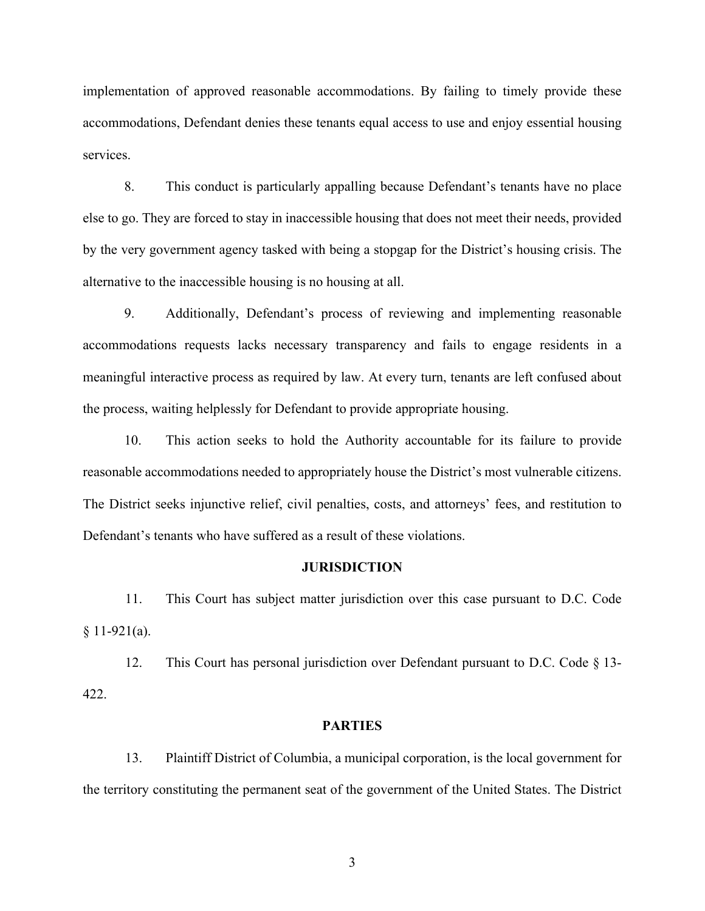implementation of approved reasonable accommodations. By failing to timely provide these accommodations, Defendant denies these tenants equal access to use and enjoy essential housing services.

8. This conduct is particularly appalling because Defendant's tenants have no place else to go. They are forced to stay in inaccessible housing that does not meet their needs, provided by the very government agency tasked with being a stopgap for the District's housing crisis. The alternative to the inaccessible housing is no housing at all.

9. Additionally, Defendant's process of reviewing and implementing reasonable accommodations requests lacks necessary transparency and fails to engage residents in a meaningful interactive process as required by law. At every turn, tenants are left confused about the process, waiting helplessly for Defendant to provide appropriate housing.

10. This action seeks to hold the Authority accountable for its failure to provide reasonable accommodations needed to appropriately house the District's most vulnerable citizens. The District seeks injunctive relief, civil penalties, costs, and attorneys' fees, and restitution to Defendant's tenants who have suffered as a result of these violations.

#### **JURISDICTION**

11. This Court has subject matter jurisdiction over this case pursuant to D.C. Code  $§ 11-921(a).$ 

12. This Court has personal jurisdiction over Defendant pursuant to D.C. Code § 13- 422.

### **PARTIES**

13. Plaintiff District of Columbia, a municipal corporation, is the local government for the territory constituting the permanent seat of the government of the United States. The District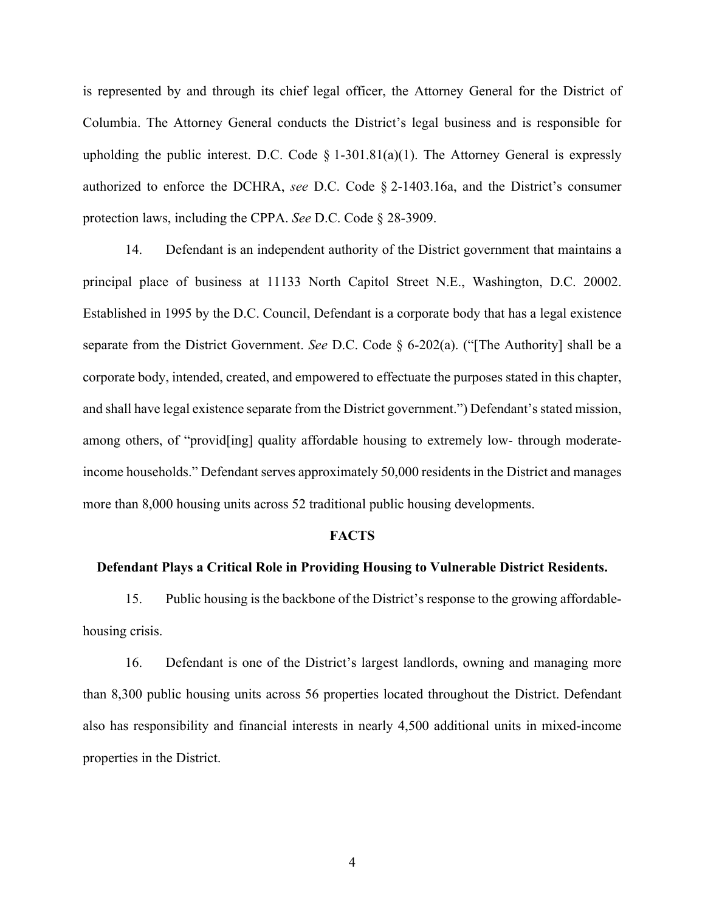is represented by and through its chief legal officer, the Attorney General for the District of Columbia. The Attorney General conducts the District's legal business and is responsible for upholding the public interest. D.C. Code  $\S$  1-301.81(a)(1). The Attorney General is expressly authorized to enforce the DCHRA, *see* D.C. Code § 2-1403.16a, and the District's consumer protection laws, including the CPPA. *See* D.C. Code § 28-3909.

14. Defendant is an independent authority of the District government that maintains a principal place of business at 11133 North Capitol Street N.E., Washington, D.C. 20002. Established in 1995 by the D.C. Council, Defendant is a corporate body that has a legal existence separate from the District Government. *See* D.C. Code § 6-202(a). ("[The Authority] shall be a corporate body, intended, created, and empowered to effectuate the purposes stated in this chapter, and shall have legal existence separate from the District government.") Defendant's stated mission, among others, of "provid[ing] quality affordable housing to extremely low- through moderateincome households." Defendant serves approximately 50,000 residents in the District and manages more than 8,000 housing units across 52 traditional public housing developments.

#### **FACTS**

#### **Defendant Plays a Critical Role in Providing Housing to Vulnerable District Residents.**

15. Public housing is the backbone of the District's response to the growing affordablehousing crisis.

16. Defendant is one of the District's largest landlords, owning and managing more than 8,300 public housing units across 56 properties located throughout the District. Defendant also has responsibility and financial interests in nearly 4,500 additional units in mixed-income properties in the District.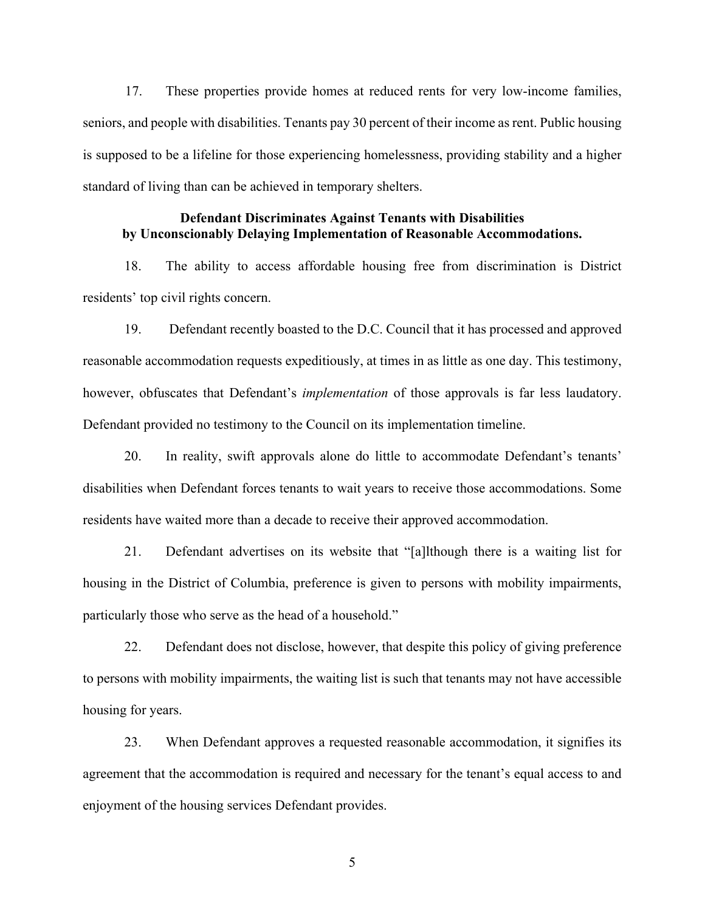17. These properties provide homes at reduced rents for very low-income families, seniors, and people with disabilities. Tenants pay 30 percent of their income as rent. Public housing is supposed to be a lifeline for those experiencing homelessness, providing stability and a higher standard of living than can be achieved in temporary shelters.

## **Defendant Discriminates Against Tenants with Disabilities by Unconscionably Delaying Implementation of Reasonable Accommodations.**

18. The ability to access affordable housing free from discrimination is District residents' top civil rights concern.

19. Defendant recently boasted to the D.C. Council that it has processed and approved reasonable accommodation requests expeditiously, at times in as little as one day. This testimony, however, obfuscates that Defendant's *implementation* of those approvals is far less laudatory. Defendant provided no testimony to the Council on its implementation timeline.

20. In reality, swift approvals alone do little to accommodate Defendant's tenants' disabilities when Defendant forces tenants to wait years to receive those accommodations. Some residents have waited more than a decade to receive their approved accommodation.

21. Defendant advertises on its website that "[a]lthough there is a waiting list for housing in the District of Columbia, preference is given to persons with mobility impairments, particularly those who serve as the head of a household."

22. Defendant does not disclose, however, that despite this policy of giving preference to persons with mobility impairments, the waiting list is such that tenants may not have accessible housing for years.

23. When Defendant approves a requested reasonable accommodation, it signifies its agreement that the accommodation is required and necessary for the tenant's equal access to and enjoyment of the housing services Defendant provides.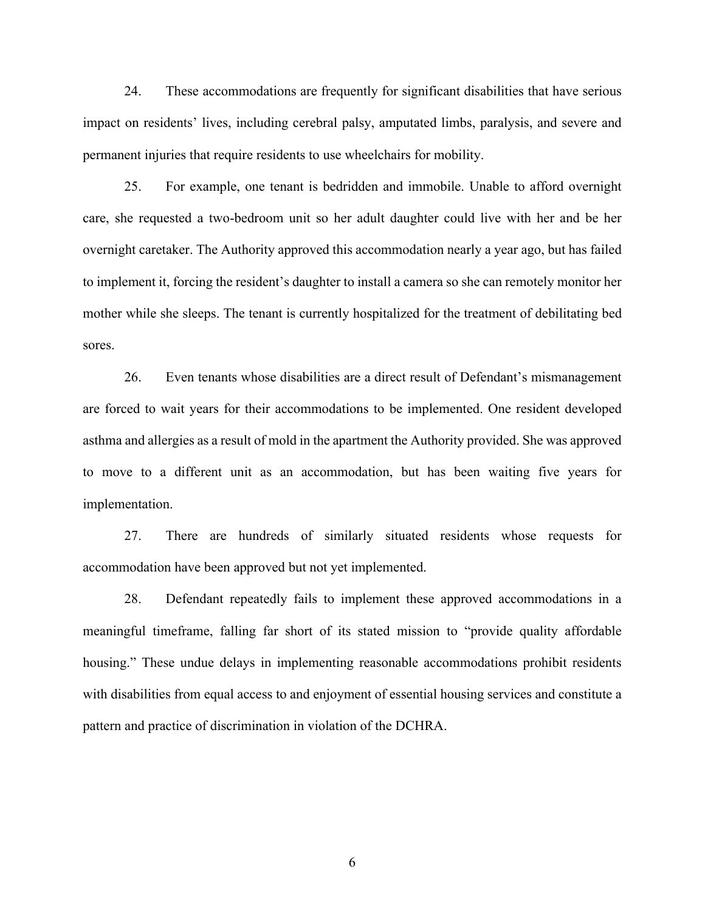24. These accommodations are frequently for significant disabilities that have serious impact on residents' lives, including cerebral palsy, amputated limbs, paralysis, and severe and permanent injuries that require residents to use wheelchairs for mobility.

25. For example, one tenant is bedridden and immobile. Unable to afford overnight care, she requested a two-bedroom unit so her adult daughter could live with her and be her overnight caretaker. The Authority approved this accommodation nearly a year ago, but has failed to implement it, forcing the resident's daughter to install a camera so she can remotely monitor her mother while she sleeps. The tenant is currently hospitalized for the treatment of debilitating bed sores.

26. Even tenants whose disabilities are a direct result of Defendant's mismanagement are forced to wait years for their accommodations to be implemented. One resident developed asthma and allergies as a result of mold in the apartment the Authority provided. She was approved to move to a different unit as an accommodation, but has been waiting five years for implementation.

27. There are hundreds of similarly situated residents whose requests for accommodation have been approved but not yet implemented.

28. Defendant repeatedly fails to implement these approved accommodations in a meaningful timeframe, falling far short of its stated mission to "provide quality affordable housing." These undue delays in implementing reasonable accommodations prohibit residents with disabilities from equal access to and enjoyment of essential housing services and constitute a pattern and practice of discrimination in violation of the DCHRA.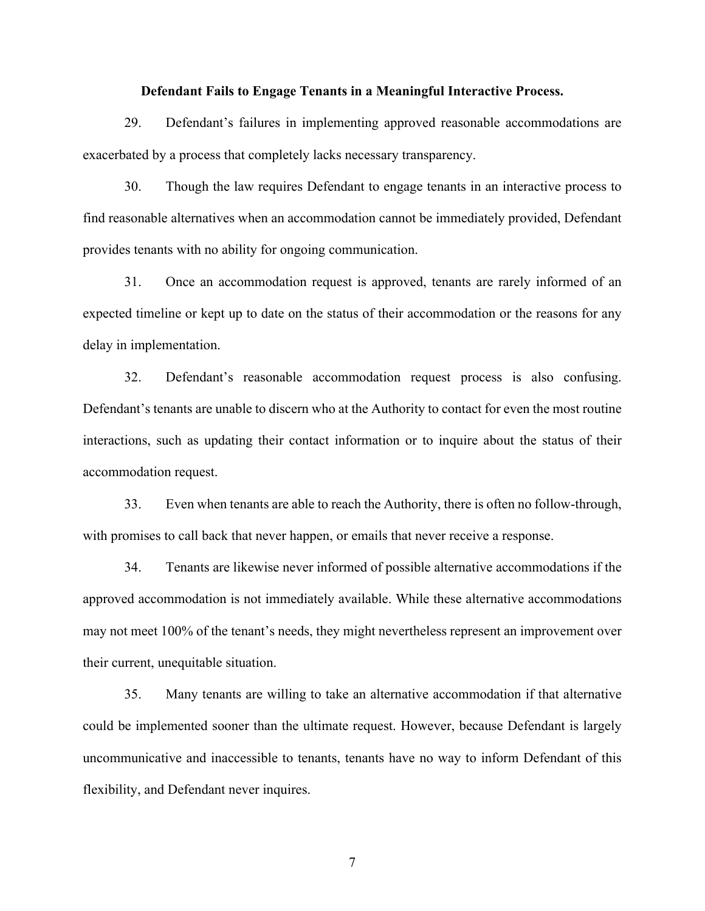#### **Defendant Fails to Engage Tenants in a Meaningful Interactive Process.**

29. Defendant's failures in implementing approved reasonable accommodations are exacerbated by a process that completely lacks necessary transparency.

30. Though the law requires Defendant to engage tenants in an interactive process to find reasonable alternatives when an accommodation cannot be immediately provided, Defendant provides tenants with no ability for ongoing communication.

31. Once an accommodation request is approved, tenants are rarely informed of an expected timeline or kept up to date on the status of their accommodation or the reasons for any delay in implementation.

32. Defendant's reasonable accommodation request process is also confusing. Defendant's tenants are unable to discern who at the Authority to contact for even the most routine interactions, such as updating their contact information or to inquire about the status of their accommodation request.

33. Even when tenants are able to reach the Authority, there is often no follow-through, with promises to call back that never happen, or emails that never receive a response.

34. Tenants are likewise never informed of possible alternative accommodations if the approved accommodation is not immediately available. While these alternative accommodations may not meet 100% of the tenant's needs, they might nevertheless represent an improvement over their current, unequitable situation.

35. Many tenants are willing to take an alternative accommodation if that alternative could be implemented sooner than the ultimate request. However, because Defendant is largely uncommunicative and inaccessible to tenants, tenants have no way to inform Defendant of this flexibility, and Defendant never inquires.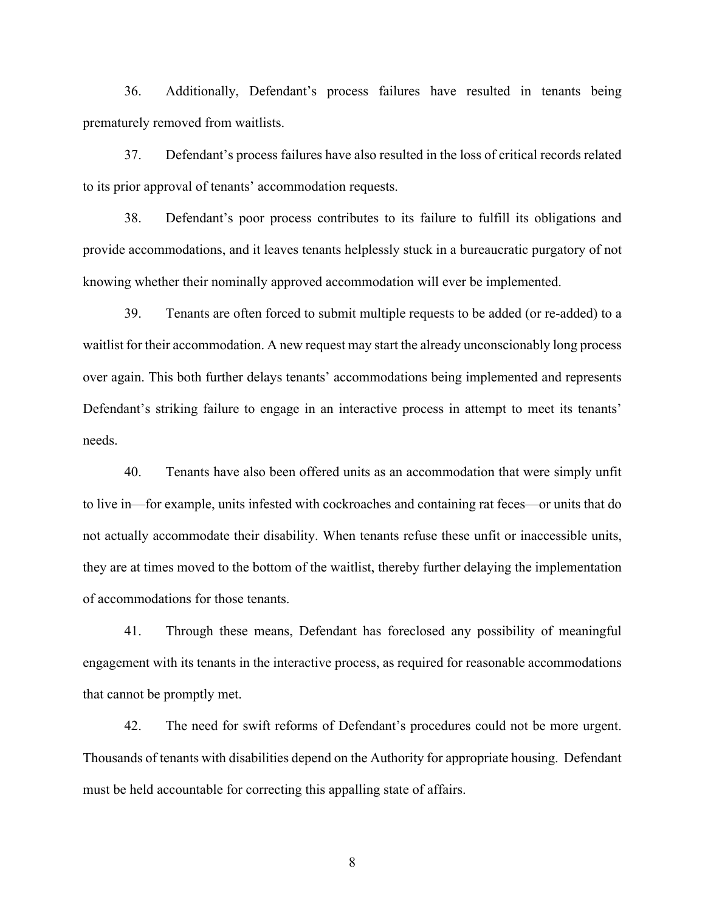36. Additionally, Defendant's process failures have resulted in tenants being prematurely removed from waitlists.

37. Defendant's process failures have also resulted in the loss of critical records related to its prior approval of tenants' accommodation requests.

38. Defendant's poor process contributes to its failure to fulfill its obligations and provide accommodations, and it leaves tenants helplessly stuck in a bureaucratic purgatory of not knowing whether their nominally approved accommodation will ever be implemented.

39. Tenants are often forced to submit multiple requests to be added (or re-added) to a waitlist for their accommodation. A new request may start the already unconscionably long process over again. This both further delays tenants' accommodations being implemented and represents Defendant's striking failure to engage in an interactive process in attempt to meet its tenants' needs.

40. Tenants have also been offered units as an accommodation that were simply unfit to live in—for example, units infested with cockroaches and containing rat feces—or units that do not actually accommodate their disability. When tenants refuse these unfit or inaccessible units, they are at times moved to the bottom of the waitlist, thereby further delaying the implementation of accommodations for those tenants.

41. Through these means, Defendant has foreclosed any possibility of meaningful engagement with its tenants in the interactive process, as required for reasonable accommodations that cannot be promptly met.

42. The need for swift reforms of Defendant's procedures could not be more urgent. Thousands of tenants with disabilities depend on the Authority for appropriate housing. Defendant must be held accountable for correcting this appalling state of affairs.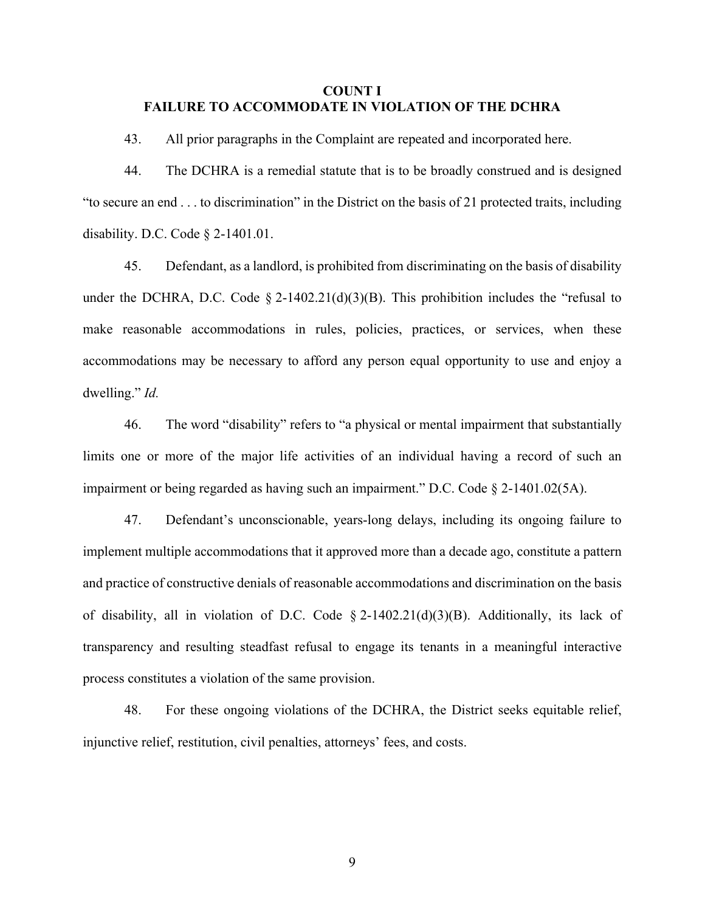## **COUNT I FAILURE TO ACCOMMODATE IN VIOLATION OF THE DCHRA**

43. All prior paragraphs in the Complaint are repeated and incorporated here.

44. The DCHRA is a remedial statute that is to be broadly construed and is designed "to secure an end . . . to discrimination" in the District on the basis of 21 protected traits, including disability. D.C. Code § 2-1401.01.

45. Defendant, as a landlord, is prohibited from discriminating on the basis of disability under the DCHRA, D.C. Code  $\S 2-1402.21(d)(3)(B)$ . This prohibition includes the "refusal to make reasonable accommodations in rules, policies, practices, or services, when these accommodations may be necessary to afford any person equal opportunity to use and enjoy a dwelling." *Id.*

46. The word "disability" refers to "a physical or mental impairment that substantially limits one or more of the major life activities of an individual having a record of such an impairment or being regarded as having such an impairment." D.C. Code § 2-1401.02(5A).

47. Defendant's unconscionable, years-long delays, including its ongoing failure to implement multiple accommodations that it approved more than a decade ago, constitute a pattern and practice of constructive denials of reasonable accommodations and discrimination on the basis of disability, all in violation of D.C. Code  $\S 2-1402.21(d)(3)(B)$ . Additionally, its lack of transparency and resulting steadfast refusal to engage its tenants in a meaningful interactive process constitutes a violation of the same provision.

48. For these ongoing violations of the DCHRA, the District seeks equitable relief, injunctive relief, restitution, civil penalties, attorneys' fees, and costs.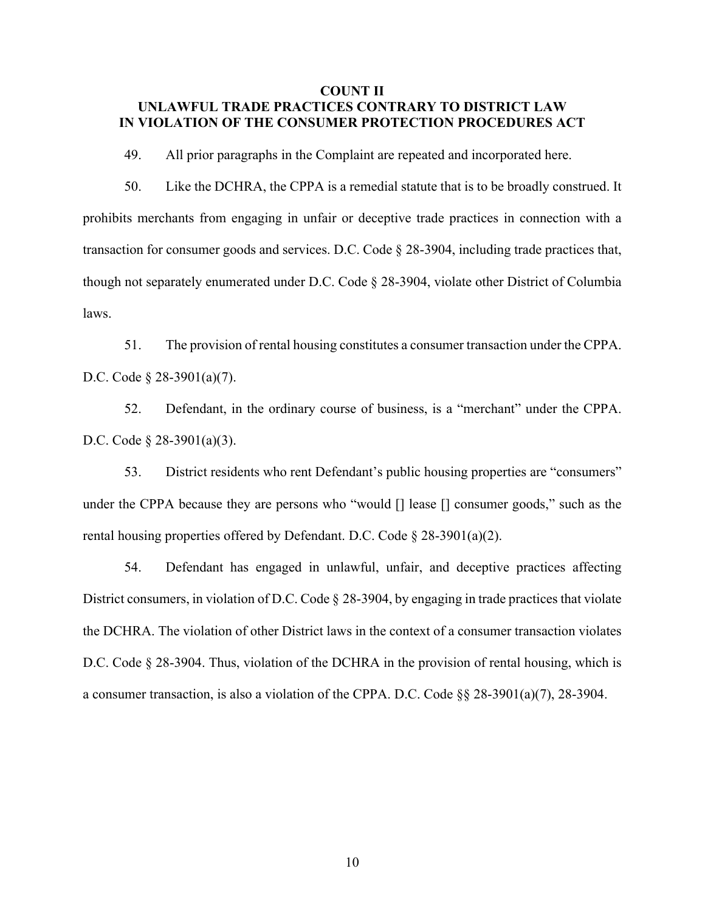## **COUNT II UNLAWFUL TRADE PRACTICES CONTRARY TO DISTRICT LAW IN VIOLATION OF THE CONSUMER PROTECTION PROCEDURES ACT**

49. All prior paragraphs in the Complaint are repeated and incorporated here.

50. Like the DCHRA, the CPPA is a remedial statute that is to be broadly construed. It prohibits merchants from engaging in unfair or deceptive trade practices in connection with a transaction for consumer goods and services. D.C. Code § 28-3904, including trade practices that, though not separately enumerated under D.C. Code § 28-3904, violate other District of Columbia laws.

51. The provision of rental housing constitutes a consumer transaction under the CPPA. D.C. Code § 28-3901(a)(7).

52. Defendant, in the ordinary course of business, is a "merchant" under the CPPA. D.C. Code § 28-3901(a)(3).

53. District residents who rent Defendant's public housing properties are "consumers" under the CPPA because they are persons who "would [] lease [] consumer goods," such as the rental housing properties offered by Defendant. D.C. Code § 28-3901(a)(2).

54. Defendant has engaged in unlawful, unfair, and deceptive practices affecting District consumers, in violation of D.C. Code § 28-3904, by engaging in trade practices that violate the DCHRA. The violation of other District laws in the context of a consumer transaction violates D.C. Code § 28-3904. Thus, violation of the DCHRA in the provision of rental housing, which is a consumer transaction, is also a violation of the CPPA. D.C. Code §§ 28-3901(a)(7), 28-3904.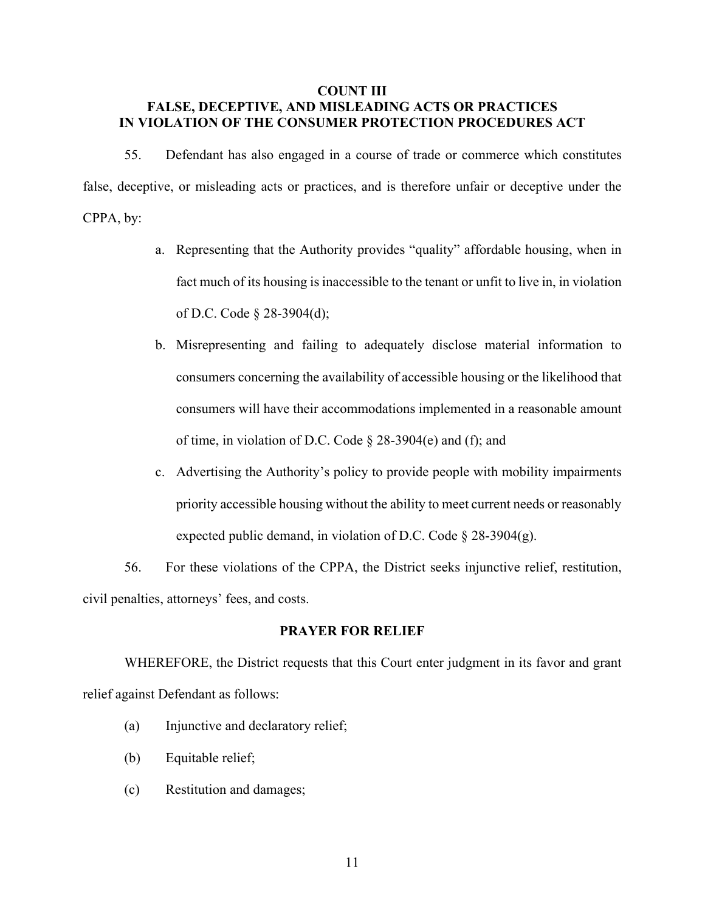## **COUNT III FALSE, DECEPTIVE, AND MISLEADING ACTS OR PRACTICES IN VIOLATION OF THE CONSUMER PROTECTION PROCEDURES ACT**

55. Defendant has also engaged in a course of trade or commerce which constitutes false, deceptive, or misleading acts or practices, and is therefore unfair or deceptive under the CPPA, by:

- a. Representing that the Authority provides "quality" affordable housing, when in fact much of its housing is inaccessible to the tenant or unfit to live in, in violation of D.C. Code § 28-3904(d);
- b. Misrepresenting and failing to adequately disclose material information to consumers concerning the availability of accessible housing or the likelihood that consumers will have their accommodations implemented in a reasonable amount of time, in violation of D.C. Code § 28-3904(e) and (f); and
- c. Advertising the Authority's policy to provide people with mobility impairments priority accessible housing without the ability to meet current needs or reasonably expected public demand, in violation of D.C. Code  $\S 28-3904(g)$ .

56. For these violations of the CPPA, the District seeks injunctive relief, restitution, civil penalties, attorneys' fees, and costs.

#### **PRAYER FOR RELIEF**

WHEREFORE, the District requests that this Court enter judgment in its favor and grant relief against Defendant as follows:

- (a) Injunctive and declaratory relief;
- (b) Equitable relief;
- (c) Restitution and damages;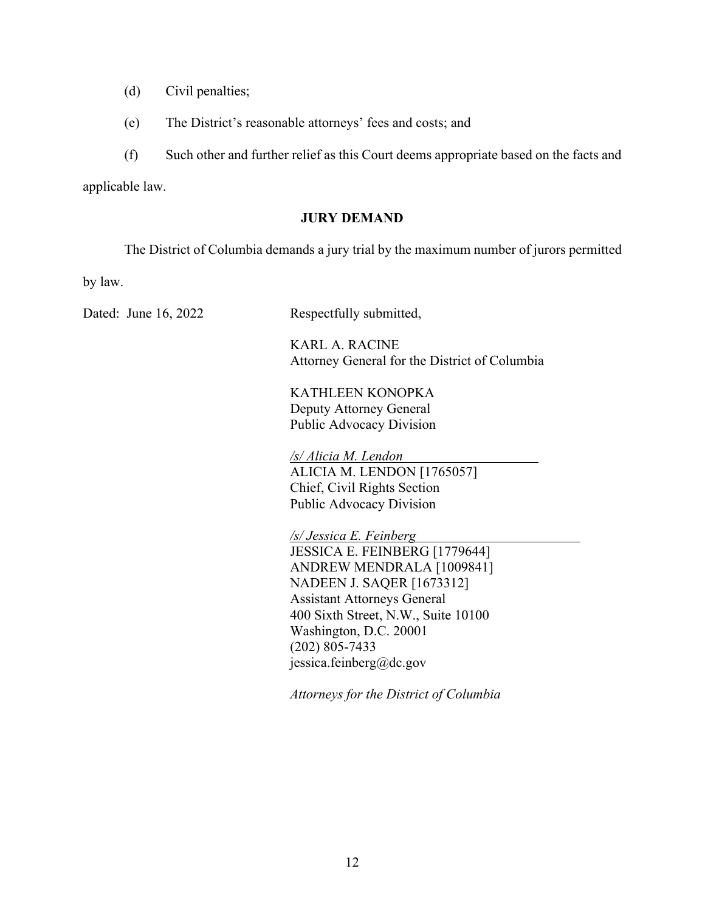- (d) Civil penalties;
- (e) The District's reasonable attorneys' fees and costs; and

(f) Such other and further relief as this Court deems appropriate based on the facts and

applicable law.

## **JURY DEMAND**

The District of Columbia demands a jury trial by the maximum number of jurors permitted

by law.

Dated: June 16, 2022 Respectfully submitted,

 KARL A. RACINE Attorney General for the District of Columbia

 KATHLEEN KONOPKA Deputy Attorney General Public Advocacy Division

 */s/ Alicia M. Lendon*  ALICIA M. LENDON [1765057] Chief, Civil Rights Section Public Advocacy Division

*/s/ Jessica E. Feinberg*  JESSICA E. FEINBERG [1779644] ANDREW MENDRALA [1009841] NADEEN J. SAQER [1673312] Assistant Attorneys General 400 Sixth Street, N.W., Suite 10100 Washington, D.C. 20001 (202) 805-7433 jessica.feinberg@dc.gov

 *Attorneys for the District of Columbia*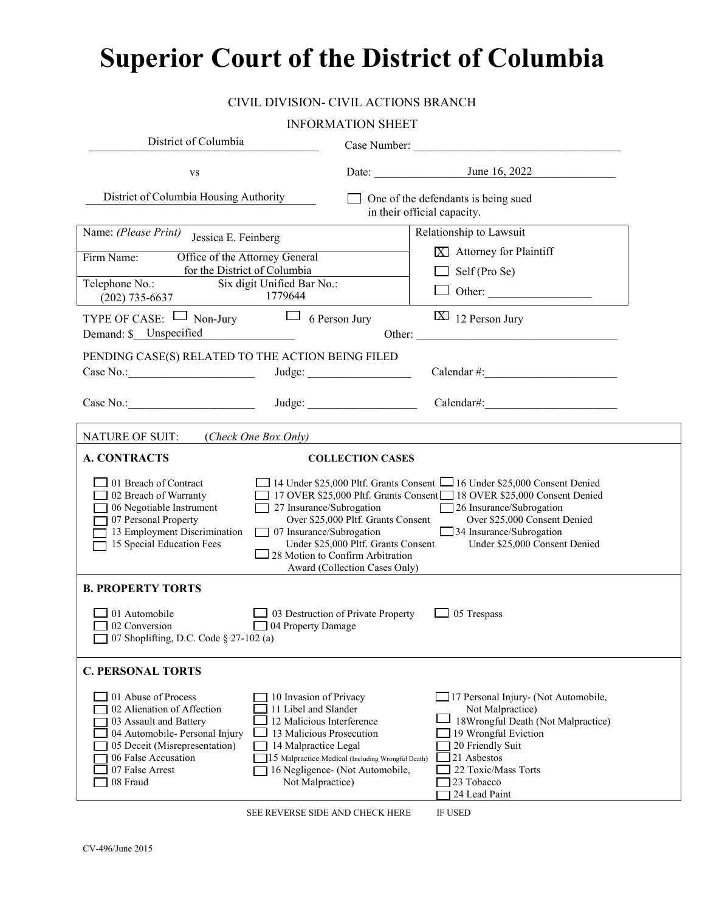# **Superior Court of the District of Columbia**

### CIVIL DIVISION- CIVIL ACTIONS BRANCH

#### INFORMATION SHEET

| District of Columbia                                                                                                                                                                                                                                                                                                                                                                                                                                                                                                                                                                                                                                                                       |                                                                                      | Case Number:                                                                                                                                                                                                    |  |
|--------------------------------------------------------------------------------------------------------------------------------------------------------------------------------------------------------------------------------------------------------------------------------------------------------------------------------------------------------------------------------------------------------------------------------------------------------------------------------------------------------------------------------------------------------------------------------------------------------------------------------------------------------------------------------------------|--------------------------------------------------------------------------------------|-----------------------------------------------------------------------------------------------------------------------------------------------------------------------------------------------------------------|--|
| <b>VS</b>                                                                                                                                                                                                                                                                                                                                                                                                                                                                                                                                                                                                                                                                                  |                                                                                      |                                                                                                                                                                                                                 |  |
| District of Columbia Housing Authority                                                                                                                                                                                                                                                                                                                                                                                                                                                                                                                                                                                                                                                     | One of the defendants is being sued<br>in their official capacity.                   |                                                                                                                                                                                                                 |  |
| Name: (Please Print)<br>Jessica E. Feinberg<br>Office of the Attorney General<br>Firm Name:<br>for the District of Columbia<br>Telephone No.: Six digit Unified Bar No.:<br>1779644<br>$(202)$ 735-6637<br>TYPE OF CASE: $\Box$ Non-Jury $\Box$ 6 Person Jury                                                                                                                                                                                                                                                                                                                                                                                                                              |                                                                                      | Relationship to Lawsuit<br>$X$ Attorney for Plaintiff<br>Self (Pro Se)<br>$\boxed{\text{X}}$ 12 Person Jury                                                                                                     |  |
| Demand: \$ Unspecified<br>PENDING CASE(S) RELATED TO THE ACTION BEING FILED<br>Case No.: Judge: Judge:                                                                                                                                                                                                                                                                                                                                                                                                                                                                                                                                                                                     |                                                                                      | Other:<br>Calendar #:                                                                                                                                                                                           |  |
| NATURE OF SUIT: (Check One Box Only)                                                                                                                                                                                                                                                                                                                                                                                                                                                                                                                                                                                                                                                       |                                                                                      | <u> 1989 - John Stein, Amerikaansk politiker († 1908)</u>                                                                                                                                                       |  |
| <b>A. CONTRACTS</b>                                                                                                                                                                                                                                                                                                                                                                                                                                                                                                                                                                                                                                                                        | <b>COLLECTION CASES</b>                                                              |                                                                                                                                                                                                                 |  |
| $\Box$ 01 Breach of Contract<br>14 Under \$25,000 Pltf. Grants Consent 16 Under \$25,000 Consent Denied<br>17 OVER \$25,000 Pltf. Grants Consent 18 OVER \$25,000 Consent Denied<br>102 Breach of Warranty<br>$\Box$ 27 Insurance/Subrogation<br>$\Box$ 06 Negotiable Instrument<br>26 Insurance/Subrogation<br>Over \$25,000 Pltf. Grants Consent<br>Over \$25,000 Consent Denied<br>07 Personal Property<br>13 Employment Discrimination<br>34 Insurance/Subrogation<br>$\Box$ 07 Insurance/Subrogation<br>15 Special Education Fees<br>Under \$25,000 Pltf. Grants Consent<br>Under \$25,000 Consent Denied<br>$\Box$ 28 Motion to Confirm Arbitration<br>Award (Collection Cases Only) |                                                                                      |                                                                                                                                                                                                                 |  |
| <b>B. PROPERTY TORTS</b>                                                                                                                                                                                                                                                                                                                                                                                                                                                                                                                                                                                                                                                                   |                                                                                      |                                                                                                                                                                                                                 |  |
| 01 Automobile<br>$\Box$ 03 Destruction of Private Property<br>05 Trespass<br>04 Property Damage<br>02 Conversion<br>07 Shoplifting, D.C. Code § 27-102 (a)                                                                                                                                                                                                                                                                                                                                                                                                                                                                                                                                 |                                                                                      |                                                                                                                                                                                                                 |  |
| <b>C. PERSONAL TORTS</b>                                                                                                                                                                                                                                                                                                                                                                                                                                                                                                                                                                                                                                                                   |                                                                                      |                                                                                                                                                                                                                 |  |
| 01 Abuse of Process<br>10 Invasion of Privacy<br>02 Alienation of Affection<br>11 Libel and Slander<br>12 Malicious Interference<br>03 Assault and Battery<br>04 Automobile- Personal Injury<br>13 Malicious Prosecution<br>05 Deceit (Misrepresentation)<br>14 Malpractice Legal<br>06 False Accusation<br>07 False Arrest<br>08 Fraud<br>Not Malpractice)                                                                                                                                                                                                                                                                                                                                | 15 Malpractice Medical (Including Wrongful Death)<br>16 Negligence- (Not Automobile, | 17 Personal Injury- (Not Automobile,<br>Not Malpractice)<br>18Wrongful Death (Not Malpractice)<br>19 Wrongful Eviction<br>20 Friendly Suit<br>21 Asbestos<br>22 Toxic/Mass Torts<br>23 Tobacco<br>24 Lead Paint |  |

SEE REVERSE SIDE AND CHECK HERE IF USED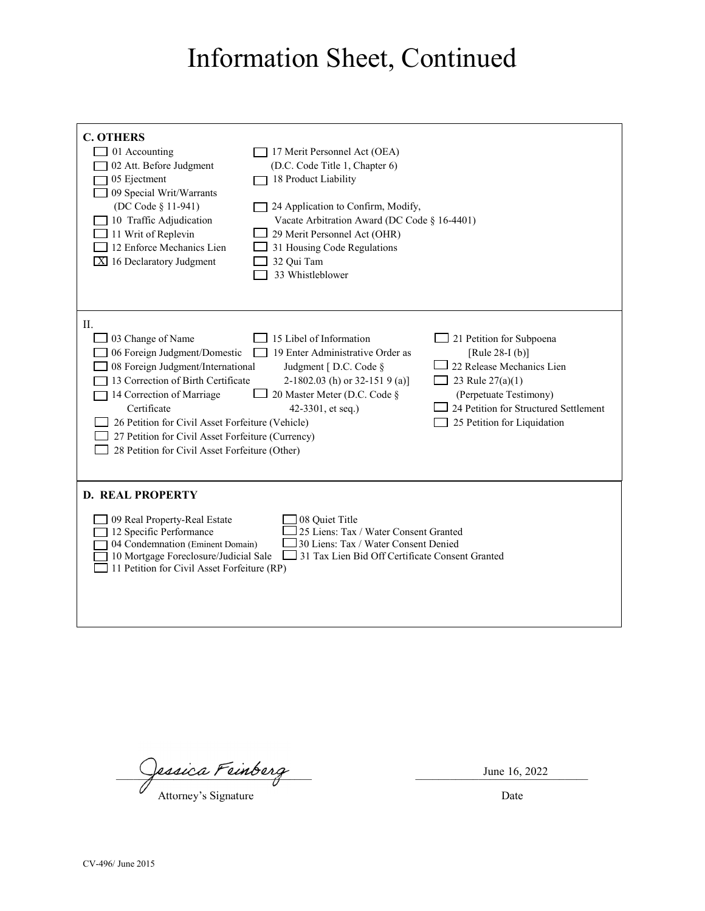## Information Sheet, Continued

| <b>C. OTHERS</b><br>01 Accounting<br>02 Att. Before Judgment<br>05 Ejectment<br>09 Special Writ/Warrants<br>(DC Code § 11-941)<br>10 Traffic Adjudication<br>11 Writ of Replevin<br>12 Enforce Mechanics Lien<br>$\boxed{\text{X}}$ 16 Declaratory Judgment                                                                                                          | 17 Merit Personnel Act (OEA)<br>(D.C. Code Title 1, Chapter 6)<br>18 Product Liability<br>24 Application to Confirm, Modify,<br>Vacate Arbitration Award (DC Code § 16-4401)<br>29 Merit Personnel Act (OHR)<br>31 Housing Code Regulations<br>32 Qui Tam<br>33 Whistleblower |                                                                                                                                                                                                |  |
|----------------------------------------------------------------------------------------------------------------------------------------------------------------------------------------------------------------------------------------------------------------------------------------------------------------------------------------------------------------------|-------------------------------------------------------------------------------------------------------------------------------------------------------------------------------------------------------------------------------------------------------------------------------|------------------------------------------------------------------------------------------------------------------------------------------------------------------------------------------------|--|
| Π.<br>03 Change of Name<br>06 Foreign Judgment/Domestic<br>08 Foreign Judgment/International<br>13 Correction of Birth Certificate<br>14 Correction of Marriage<br>Certificate<br>26 Petition for Civil Asset Forfeiture (Vehicle)<br>27 Petition for Civil Asset Forfeiture (Currency)<br>28 Petition for Civil Asset Forfeiture (Other)                            | 15 Libel of Information<br>19 Enter Administrative Order as<br>Judgment [D.C. Code §<br>2-1802.03 (h) or 32-151 9 (a)]<br>20 Master Meter (D.C. Code §<br>42-3301, et seq.)                                                                                                   | 21 Petition for Subpoena<br>[Rule 28-I (b)]<br>22 Release Mechanics Lien<br>23 Rule 27(a)(1)<br>(Perpetuate Testimony)<br>24 Petition for Structured Settlement<br>25 Petition for Liquidation |  |
| <b>D. REAL PROPERTY</b><br>09 Real Property-Real Estate<br>08 Ouiet Title<br>12 Specific Performance<br>25 Liens: Tax / Water Consent Granted<br>04 Condemnation (Eminent Domain)<br>30 Liens: Tax / Water Consent Denied<br>10 Mortgage Foreclosure/Judicial Sale<br>31 Tax Lien Bid Off Certificate Consent Granted<br>11 Petition for Civil Asset Forfeiture (RP) |                                                                                                                                                                                                                                                                               |                                                                                                                                                                                                |  |

Jessica Feinberg (1988)

Attorney's Signature Date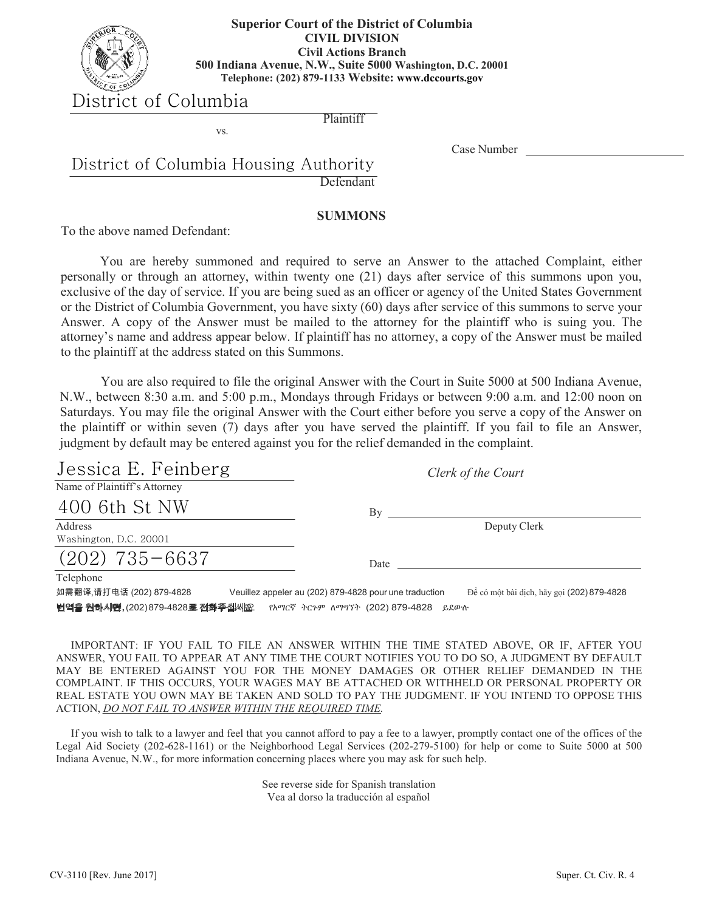

#### **Washington, D.C. 20001 Telephone: 879-1133 500 Indiana Avenue, N.W., Suite 5000 Washington, D.C. 20001 Superior Court of the District of Columbia CIVIL DIVISION Civil Actions Branch Telephone: (202) 879-1133 Website: www.dccourts.gov**

## District of Columbia

**Plaintiff** 

Case Number

## Defendant District of Columbia Housing Authority

vs.

### **SUMMONS**

To the above named Defendant:

You are hereby summoned and required to serve an Answer to the attached Complaint, either personally or through an attorney, within twenty one (21) days after service of this summons upon you, exclusive of the day of service. If you are being sued as an officer or agency of the United States Government or the District of Columbia Government, you have sixty (60) days after service of this summons to serve your Answer. A copy of the Answer must be mailed to the attorney for the plaintiff who is suing you. The attorney's name and address appear below. If plaintiff has no attorney, a copy of the Answer must be mailed to the plaintiff at the address stated on this Summons.

You are also required to file the original Answer with the Court in Suite 5000 at 500 Indiana Avenue, You are also required to file the original Answer with the Court in Suite 5000 at 500 Indiana Avenue, N.W., between 8:30 a.m. and 5:00 p.m., Mondays through Fridays or between 9:00 a.m. and 12:00 noon on Saturdays. You may file the original Answer with the Court either before you serve a copy of the Answer on Saturdays. You may file the original Answer with the Court either before you serve a copy of the Answer on the plaintiff or within seven (7) days after you have served the plaintiff. If you fail to file an Answer, judgment by default may be entered against you for the relief demanded in the complaint.

| Jessica E. Feinberg                   |                                                        | Clerk of the Court                         |
|---------------------------------------|--------------------------------------------------------|--------------------------------------------|
| Name of Plaintiff's Attorney          |                                                        |                                            |
| 400 6th St NW                         | Bv                                                     |                                            |
| Address<br>Washington, D.C. 20001     |                                                        | Deputy Clerk                               |
| $(202)$ 735-6637                      | Date                                                   |                                            |
| Telephone<br>如需翻译,请打电话 (202) 879-4828 | Veuillez appeler au (202) 879-4828 pour une traduction | Để có một bài dịch, hãy gọi (202) 879-4828 |

**번역을 원하시떈, (202) 879-4828로 전화주십씨股 RATIC**ኛ ትርጉም ለማግኘት (202) 879-4828 ይደውሉ

ACTION, *<u>DO NOT FAIL TO ANSWER WITHIN THE REQUIRED TIME.</u>* IMPORTANT: IF YOU FAIL TO FILE AN ANSWER WITHIN THE TIME STATED ABOVE, OR IF, AFTER YOU ANSWER, YOU FAIL TO APPEAR AT ANY TIME THE COURT NOTIFIES YOU TO DO SO, A JUDGMENT BY DEFAULT MAY BE ENTERED AGAINST YOU FOR THE MONEY DAMAGES OR OTHER RELIEF DEMANDED IN THE COMPLAINT. IF THIS OCCURS, YOUR WAGES MAY BE ATTACHED OR WITHHELD OR PERSONAL PROPERTY OR REAL ESTATE YOU OWN MAY BE TAKEN AND SOLD TO PAY THE JUDGMENT. IF YOU INTEND TO OPPOSE THIS

If you wish to talk to a lawyer and feel that you cannot afford to pay a fee to a lawyer, promptly contact one of the offices of the Legal Aid Society (202-628-1161) or the Neighborhood Legal Services (202-279-5100) for help or come to Suite 5000 at 500 Indiana Avenue, N.W., for more information concerning places where you may ask for such help.

> See reverse side for Spanish translation Vea al dorso la traducción al español